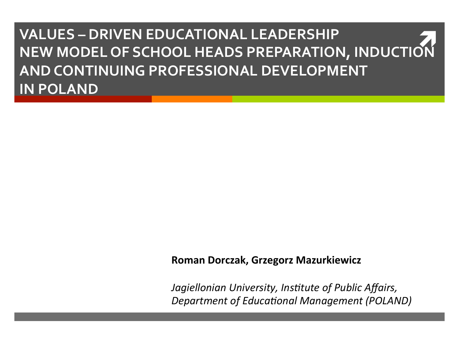**VALUES - DRIVEN EDUCATIONAL LEADERSHIP** NEW MODEL OF SCHOOL HEADS PREPARATION, INDUCTION AND CONTINUING PROFESSIONAL DEVELOPMENT **IN POLAND** 

#### Roman Dorczak, Grzegorz Mazurkiewicz

Jagiellonian University, Institute of Public Affairs, **Department of Educational Management (POLAND)**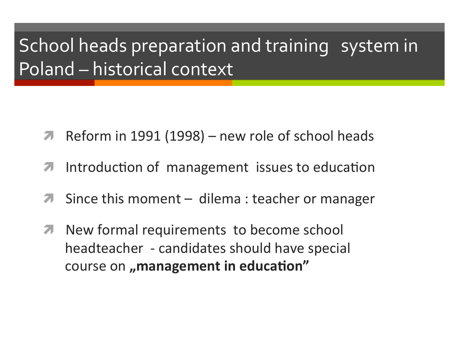## School heads preparation and training system in Poland - historical context

- Reform in 1991 (1998) new role of school heads  $\overline{\phantom{a}}$
- Introduction of management issues to education  $\overline{\phantom{a}}$
- Since this moment  $-$  dilema : teacher or manager
- New formal requirements to become school  $\overline{\phantom{a}}$ headteacher - candidates should have special course on "management in education"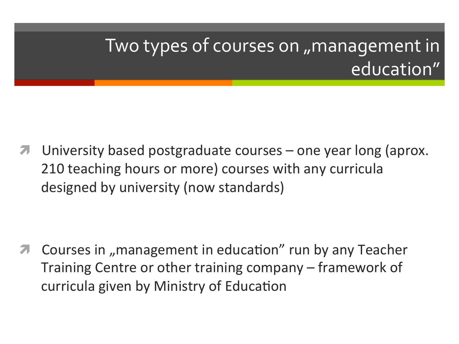## Two types of courses on "management in education"

University based postgraduate courses  $-$  one year long (aprox. 210 teaching hours or more) courses with any curricula designed by university (now standards)

Courses in "management in education" run by any Teacher Training Centre or other training company – framework of curricula given by Ministry of Education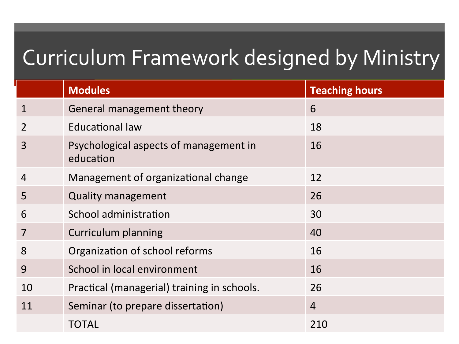# Curriculum Framework designed by Ministry

|                | <b>Modules</b>                                      | <b>Teaching hours</b> |
|----------------|-----------------------------------------------------|-----------------------|
| $\mathbf 1$    | General management theory                           | 6                     |
|                | Educational law                                     | 18                    |
| $\overline{3}$ | Psychological aspects of management in<br>education | 16                    |
| $\overline{4}$ | Management of organizational change                 | 12                    |
| 5              | <b>Quality management</b>                           | 26                    |
| 6              | School administration                               | 30                    |
|                | <b>Curriculum planning</b>                          | 40                    |
| 8              | Organization of school reforms                      | 16                    |
| 9              | School in local environment                         | 16                    |
| 10             | Practical (managerial) training in schools.         | 26                    |
| 11             | Seminar (to prepare dissertation)                   | $\overline{4}$        |
|                | <b>TOTAL</b>                                        | 210                   |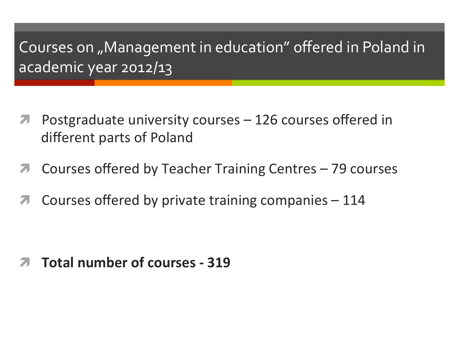### Courses on "Management in education" offered in Poland in academic year 2012/13

- Postgraduate university courses  $-126$  courses offered in different parts of Poland
- Courses offered by Teacher Training Centres  $-79$  courses
- Courses offered by private training companies  $-114$

**Total number of courses - 319**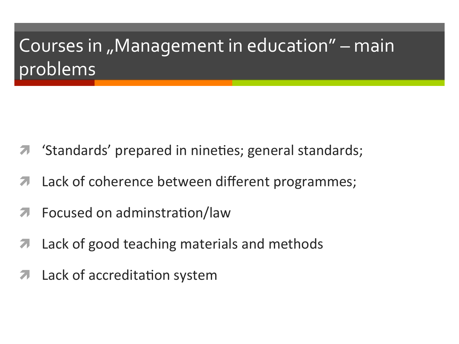# Courses in "Management in education" - main problems

- 'Standards' prepared in nineties; general standards;
- Lack of coherence between different programmes;
- Focused on adminstration/law
- Lack of good teaching materials and methods
- Lack of accreditation system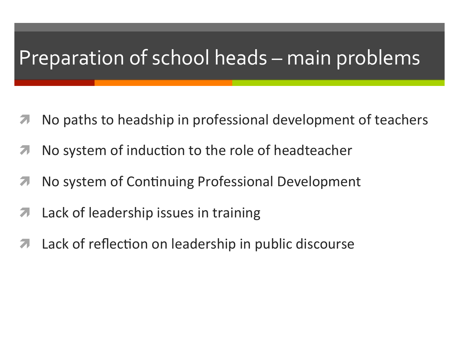### Preparation of school heads – main problems

- No paths to headship in professional development of teachers
- No system of induction to the role of headteacher
- No system of Continuing Professional Development 7
- Lack of leadership issues in training
- Lack of reflection on leadership in public discourse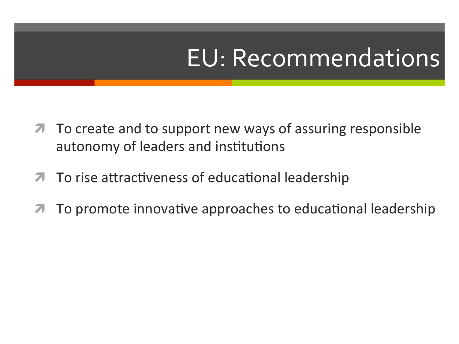# EU: Recommendations

- **7** To create and to support new ways of assuring responsible autonomy of leaders and institutions
- To rise attractiveness of educational leadership
- To promote innovative approaches to educational leadership  $\overline{\mathcal{L}}$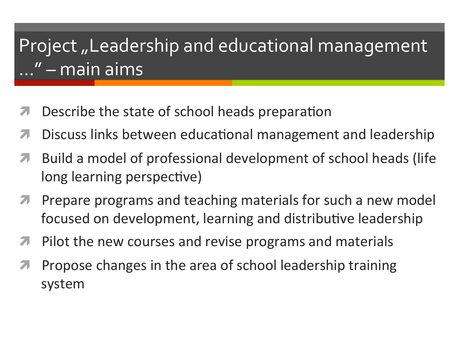## Project "Leadership and educational management' ..." – main aims

- Describe the state of school heads preparation
- Discuss links between educational management and leadership
- Build a model of professional development of school heads (life long learning perspective)
- Prepare programs and teaching materials for such a new model 7 focused on development, learning and distributive leadership
- Pilot the new courses and revise programs and materials 7
- Propose changes in the area of school leadership training system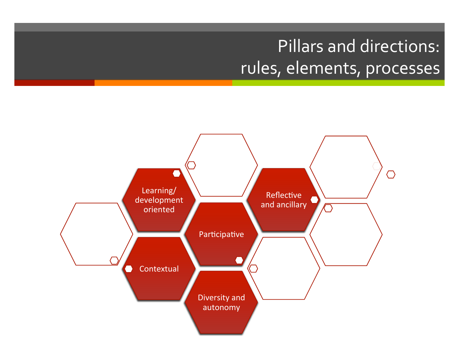### Pillars and directions: rules, elements, processes

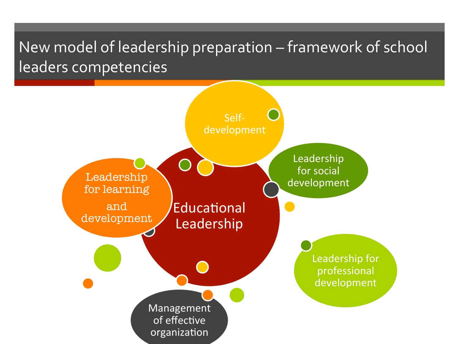### New model of leadership preparation – framework of school leaders competencies

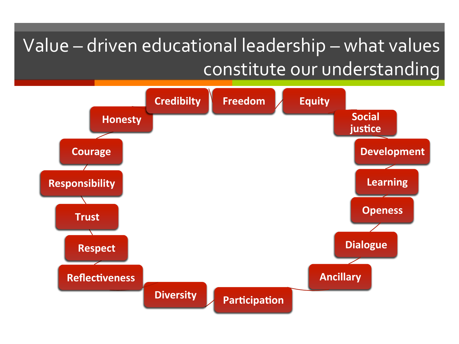### Value - driven educational leadership - what values constitute our understanding